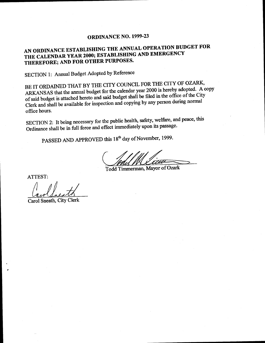#### ORDINANCE NO. 1999-23

#### AN ORDINANCE ESTABLISHING THE ANNUAL OPERATION BUDGET FOR THE CALENDAR YEAR 2000; ESTABLISHING AND EMERGENCY THEREFORE; AND FOR OTHER PURPOSES.

SECTION 1: Annual Budget Adopted by Reference

BE IT ORDAINED THAT BY THE CITY COUNCIL FOR THE CITY OF OZARK, ARKANSAS that the annual budget for the calendar year 2000 is hereby adopted. A copy of said budget is attached hereto and said budget shall be filed in the office of the City Clerk and shall be available for inspection and copying by any person during normal office hours.

SECTION 2: It being necessary for the public health, safety, welfare, and peace, this Ordinance shall be in full force and effect immediately upon its passage.

PASSED AND APPROVED this 18<sup>th</sup> day of November, 1999.

Todd Timmerman, Mayor of Ozark

ATTEST:

Carol Sneath, City Clerk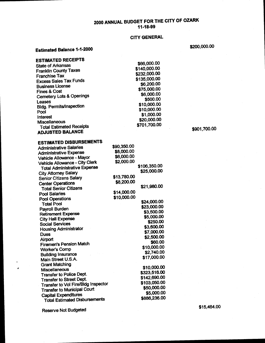#### 2000 ANNUAL BUDGET FOR THE CITY OF OZARK 11-18-99

#### CITY GENERAL

Estimated Balance 1-1-2000

| <b>ESTIMATED RECEIPTS</b>                                |             |              |
|----------------------------------------------------------|-------------|--------------|
|                                                          |             | \$66,000.00  |
| <b>State of Arkansas</b><br><b>Franklin County Taxes</b> |             | \$140,000.00 |
| <b>Franchise Tax</b>                                     |             | \$232,000.00 |
| <b>Excess Sales Tax Funds</b>                            |             | \$135,000.00 |
|                                                          |             | \$6,200.00   |
| <b>Business License</b>                                  |             | \$75,000.00  |
| <b>Fines &amp; Cost</b>                                  |             | \$6,000.00   |
| <b>Cemetery Lots &amp; Openings</b>                      |             | \$500.00     |
| Leases                                                   |             | \$10,000.00  |
| <b>Bidg. Permits/Inspection</b>                          |             | \$10,000.00  |
| Pool                                                     |             | \$1,000.00   |
| Interest<br>Miscellaneous                                |             | \$20,000.00  |
| <b>Total Estimated Receipts</b>                          |             | \$701,700.00 |
| <b>ADJUSTED BALANCE</b>                                  |             |              |
|                                                          |             |              |
| <b>ESTIMATED DISBURSEMENTS</b>                           |             |              |
| <b>Administrative Salaries</b>                           | \$90,350.00 |              |
| <b>Administrative Expense</b>                            | \$8,000.00  |              |
| Vehicle Allowance - Mayor                                | \$6,000.00  |              |
| Vehicle Allowance - City Clerk                           | \$2,000.00  |              |
| <b>Total Administrative Expense</b>                      |             | \$106,350.00 |
| <b>City Attorney Salary</b>                              |             | \$25,000.00  |
| <b>Senior Citizens Salary</b>                            | \$13,780.00 |              |
| <b>Center Operations</b>                                 | \$8,200.00  |              |
| <b>Total Senior Citizens</b>                             |             | \$21,980.00  |
| <b>Pool Salaries</b>                                     | \$14,000.00 |              |
| <b>Pool Operations</b>                                   | \$10,000.00 |              |
| <b>Total Pool</b>                                        |             | \$24,000.00  |
| Payroll Burden                                           |             | \$23,000.00  |
| <b>Retirement Expense</b>                                |             | \$3,500.00   |
| <b>City Hall Expense</b>                                 |             | \$5,000.00   |
| <b>Social Services</b>                                   |             | \$250.00     |
| <b>Housing Administrator</b>                             |             | \$3,600.00   |
| <b>Dues</b>                                              |             | \$7,000.00   |
| Airport                                                  |             | \$2,500.00   |
| Firemen's Pension Match                                  |             | \$60.00      |
| <b>Worker's Comp</b>                                     |             | \$10,000.00  |
| <b>Building Insurance</b>                                |             | \$2,740.00   |
| Main Street U.S.A.                                       |             | \$17,000.00  |
| <b>Grant Matching</b>                                    |             |              |
| Miscellaneous                                            |             | \$10,000.00  |
| <b>Transfer to Police Dept.</b>                          |             | \$323,516.00 |
| Transfer to Street Dept.                                 |             | \$142,690.00 |
| Transfer to Vol Fire/Bldg Inspector                      |             | \$103,050.00 |
| <b>Transfer to Municipal Court</b>                       |             | \$50,000.00  |
| <b>Capital Expenditures</b>                              |             | \$5,000.00   |
| <b>Total Estimated Disbursements</b>                     |             | \$886,236.00 |

Reserve Not Budgeted

\$200,000.00

\$901,700.00

\$15,464.00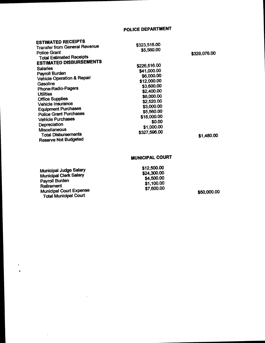| <b>ESTIMATED RECEIPTS</b>                              |              |              |
|--------------------------------------------------------|--------------|--------------|
| <b>Transfer from General Revenue</b>                   | \$323,516.00 |              |
| <b>Police Grant</b><br><b>Total Estimated Receipts</b> | \$5,560.00   | \$329,076.00 |
| <b>ESTIMATED DISBURSEMENTS</b>                         |              |              |
| <b>Salaries</b>                                        | \$226,516.00 |              |
| Payroll Burden                                         | \$41,000.00  |              |
| <b>Vehicle Operation &amp; Repair</b>                  | \$6,000.00   |              |
| Gasoline                                               | \$12,000.00  |              |
|                                                        | \$3,600.00   |              |
| Phone-Radio-Pagers                                     | \$2,400.00   |              |
| <b>Utilities</b>                                       | \$6,000.00   |              |
| <b>Office Supplies</b>                                 | \$2,520.00   |              |
| Vehicle Insurance                                      | \$3,000.00   |              |
| <b>Equipment Purchases</b>                             | \$5,560.00   |              |
| <b>Police Grant Purchases</b>                          | \$18,000.00  |              |
| <b>Vehicle Purchases</b>                               | \$0.00       |              |
| Depreciation                                           |              |              |
| <b>Miscellaneous</b>                                   | \$1,000.00   |              |
| <b>Total Disbursements</b>                             | \$327,596.00 | \$1,480.0    |
| <b>Reserve Not Budgeted</b>                            |              |              |
|                                                        |              |              |

180.00

#### MUNICIPAL COURT

12,500.00 Municipal Judge Salary 12,500.00 \$12,500.00 wantspart over 24, 300.00<br>Municipal Clerk Salary 24, 300.00 Payroll Burden Retirement Neuroment Court Expense 7,600.00 Total Municipal Court

4,5W.00  $$1,100.00$ <br> $$7,600.00$ 

\$50,000.00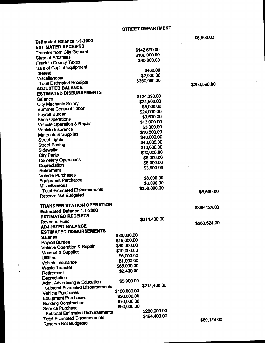| Estimated Balance 1-1-2000                                              |                            |                             | \$6,500.00   |
|-------------------------------------------------------------------------|----------------------------|-----------------------------|--------------|
| <b>ESTIMATED RECEIPTS</b>                                               |                            |                             |              |
| <b>Transfer from City General</b>                                       |                            | \$142,690.00                |              |
| <b>State of Arkansas</b>                                                |                            | \$160,000.00                |              |
| <b>Franklin County Taxes</b>                                            |                            | \$45,000.00                 |              |
| Sale of Capital Equipment                                               |                            |                             |              |
| Interest                                                                |                            | \$400.00                    |              |
| Miscellaneous                                                           |                            | \$2,000.00                  |              |
| <b>Total Estimated Receipts</b>                                         |                            | \$350,090.00                | \$356,590.00 |
| <b>ADJUSTED BALANCE</b>                                                 |                            |                             |              |
| <b>ESTIMATED DISBURSEMENTS</b>                                          |                            |                             |              |
| <b>Salaries</b>                                                         |                            | \$124,390.00<br>\$24,500.00 |              |
| <b>City Mechanic Salary</b>                                             |                            | \$5,000.00                  |              |
| <b>Summer Contract Labor</b>                                            |                            | \$24,000.00                 |              |
| Payroll Burden                                                          |                            | \$3,500.00                  |              |
| <b>Shop Operations</b>                                                  |                            | \$12,000.00                 |              |
| <b>Vehicle Operation &amp; Repair</b>                                   |                            | \$3,300.00                  |              |
| Vehicle Insurance                                                       |                            | \$10,500.00                 |              |
| <b>Materials &amp; Supplies</b>                                         |                            | \$48,000.00                 |              |
| <b>Street Lights</b>                                                    |                            | \$40,000.00                 |              |
| <b>Street Paving</b>                                                    |                            | \$10,000.00                 |              |
| <b>Sidewalks</b>                                                        |                            | \$20,000.00                 |              |
| <b>City Parks</b>                                                       |                            | \$5,000.00                  |              |
| <b>Cemetery Operations</b>                                              |                            | \$5,000.00                  |              |
| Depreciation                                                            |                            | \$3,900.00                  |              |
| Retirement                                                              |                            |                             |              |
| <b>Vehicle Purchases</b><br><b>Equipment Purchases</b>                  |                            | \$8,000.00                  |              |
| <b>Miscellaneous</b>                                                    |                            | \$3,000.00                  |              |
| <b>Total Estimated Disbursements</b>                                    |                            | \$350,090.00                |              |
| <b>Reserve Not Budgeted</b>                                             |                            |                             | \$6,500.00   |
|                                                                         |                            |                             |              |
| <b>TRANSFER STATION OPERATION</b>                                       |                            |                             | \$369,124.00 |
| <b>Estimated Balance 1-1-2000</b>                                       |                            |                             |              |
| <b>ESTIMATED RECEIPTS</b>                                               |                            |                             |              |
| <b>Revenue Fund</b>                                                     |                            | \$214,400.00                | \$583,524.00 |
| <b>ADJUSTED BALANCE</b>                                                 |                            |                             |              |
| <b>ESTIMATED DISBURSEMENTS</b>                                          |                            |                             |              |
| <b>Salaries</b>                                                         | \$80,000.00<br>\$15,000.00 |                             |              |
| Payroll Burden                                                          | \$30,000.00                |                             |              |
| Vehicle Operation & Repair                                              | \$10,000.00                |                             |              |
| <b>Material &amp; Supplies</b>                                          | \$6,000.00                 |                             |              |
| <b>Utilities</b>                                                        | \$1,000.00                 |                             |              |
| Vehicle Insurance                                                       | \$65,000.00                |                             |              |
| <b>Waste Transfer</b>                                                   | \$2,400.00                 |                             |              |
| Retirement                                                              |                            |                             |              |
| Depreciation                                                            | \$5,000.00                 |                             |              |
| Adm. Advertising & Education<br><b>Subtotal Estimated Disbursements</b> |                            | \$214,400.00                |              |
| <b>Vehicle Purchases</b>                                                | \$100,000.00               |                             |              |
| <b>Equipment Purchases</b>                                              | \$20,000.00                |                             |              |
| <b>Building Construction</b>                                            | \$70,000.00                |                             |              |
| Service Purchase                                                        | \$90,000.00                |                             |              |
| <b>Subtotal Estimated Disbursements</b>                                 |                            | \$280,000.00                |              |
| <b>Total Estimated Disbursements</b>                                    |                            | \$494,400.00                | \$89,124.00  |
| <b>Reserve Not Budgeted</b>                                             |                            |                             |              |

60. EDD 00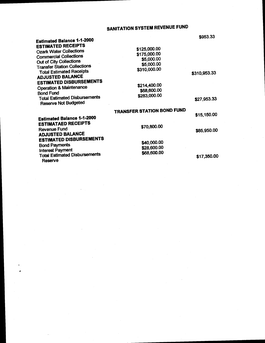# SANITATION SYSTEM REVENUE FUND

| Estimated Balance 1-1-2000                                          |                                   | \$953.33     |
|---------------------------------------------------------------------|-----------------------------------|--------------|
| <b>ESTIMATED RECEIPTS</b>                                           | \$125,000.00                      |              |
| <b>Ozark Water Collections</b>                                      | \$175,000.00                      |              |
| <b>Commercial Collections</b>                                       |                                   |              |
| Out of City Collections                                             | \$5,000.00                        |              |
| <b>Transfer Station Collections</b>                                 | \$5,000.00                        |              |
| <b>Total Estimated Receipts</b>                                     | \$310,000.00                      |              |
| <b>ADJUSTED BALANCE</b>                                             |                                   | \$310,953.33 |
| <b>ESTIMATED DISBURSEMENTS</b>                                      |                                   |              |
|                                                                     | \$214,400.00                      |              |
| <b>Operation &amp; Maintenance</b>                                  | \$68,600.00                       |              |
| <b>Bond Fund</b>                                                    | \$283,000.00                      |              |
| <b>Total Estimated Disbursements</b><br><b>Reserve Not Budgeted</b> |                                   | \$27,953.33  |
|                                                                     | <b>TRANSFER STATION BOND FUND</b> |              |
| <b>Estimated Balance 1-1-2000</b>                                   |                                   | \$15,150.00  |
| <b>ESTIMATAED RECEIPTS</b>                                          |                                   |              |
|                                                                     | \$70,800.00                       |              |
| <b>Revenue Fund</b>                                                 |                                   | \$85,950.00  |
| <b>ADJUSTED BALANCE</b>                                             |                                   |              |
| <b>ESTIMATED DISBURSEMENTS</b>                                      | \$40,000.00                       |              |
| <b>Bond Payments</b>                                                | \$28,600.00                       |              |
| <b>Interest Payment</b>                                             |                                   |              |
| <b>Total Estimated Disbursements</b><br><b>Reserve</b>              | \$68,600.00                       | \$17,350.00  |
|                                                                     |                                   |              |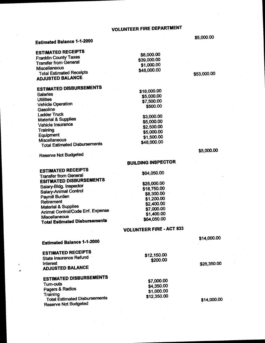## VOLUNTEER FIRE DEPARTMENT

## Estimated Balance 1-1-2000

| ESTIMATED RECEIPTS<br><b>Franklin County Taxes</b><br><b>Transfer from General</b><br><b>Miscellaneous</b><br><b>Total Estimated Receipts</b><br><b>ADJUSTED BALANCE</b> | \$8,000.00<br>\$39,000.00<br>\$1,000.00<br>\$48,000.00 |
|--------------------------------------------------------------------------------------------------------------------------------------------------------------------------|--------------------------------------------------------|
| <b>ESTIMATED DISBURSEMENTS</b><br><b>Salaries</b><br><b>Utilities</b>                                                                                                    | \$18,000.00<br>\$5,000.00<br>\$7,500.00                |
| <b>Vehicle Operation</b><br>Gasoline                                                                                                                                     | \$500.00                                               |
| <b>Ladder Truck</b><br><b>Material &amp; Supplies</b><br>Vehicle Insurance<br>Training                                                                                   | \$3,000.00<br>\$5,000.00<br>\$2,500.00                 |
| Equipment<br><b>Miscellaneous</b><br><b>Total Estimated Disbursements</b>                                                                                                | \$5,000.00<br>\$1,500.00<br>\$48,000.00                |
|                                                                                                                                                                          |                                                        |

Reserve Not Budgeted

#### BUILDING INSPECTOR

| <b>ESTIMATED RECEIPTS</b><br><b>Transfer from General</b> | \$64,050.00 |
|-----------------------------------------------------------|-------------|
| <b>ESITMATED DISBURSEMENTS</b>                            | \$25,000.00 |
| Salary-Bidg. Inspector                                    | \$18,750.00 |
| Salary-Animal Control                                     | \$8,300.00  |
| Payroll Burden                                            | \$1,200.00  |
| Retirement                                                | \$2,400.00  |
| <b>Material &amp; Supplies</b>                            | \$7,000.00  |
| Animal Control/Code Enf. Expense                          | \$1,400.00  |
| Miscellaneous<br><b>Total Estimated Disbursements</b>     | \$64,050.00 |

#### VOLUNTEER FIRE- ACT 833

\$12, 150.00

\$200.00

\$14,000.00

Estimated Balance 1-1-2000

ESTIMATED RECEIPTS State Insurance Refund  $\sqrt{26,350.00}$ ADJUSTED BALANCE ESTIMATED DISBURSEMENTS

| ESTIMA I EU DISDUNSEMENTY            | \$7,000.00  |
|--------------------------------------|-------------|
| Turn-outs                            | \$4,350.00  |
| Pagers & Radios                      | \$1,000.00  |
| Training                             | \$12,350.00 |
| <b>Total Estimated Disbursements</b> |             |
| <b>Reserve Not Budgeted</b>          |             |

 $$14,000.00$ 

5. 000. 00

\$53,000.00

5,000. 00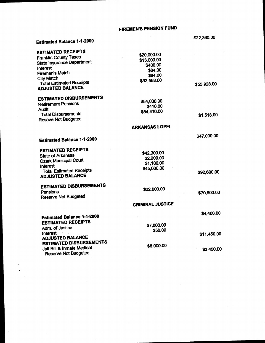## FIREMEN'S PENSION FUND

## Estimated Balance 1-1-2000

r

\$22,360.00

| ESTIMATED RECEIPTS                                         | \$20,000.00               |             |
|------------------------------------------------------------|---------------------------|-------------|
| <b>Franklin County Taxes</b>                               | \$13,000.00               |             |
| <b>State Insurance Department</b>                          | \$400.00                  |             |
| Interest                                                   | \$84.00                   |             |
| <b>Firemen's Match</b>                                     | \$84.00                   |             |
| <b>City Match</b>                                          | \$33,568.00               |             |
| <b>Total Estimated Receipts</b><br><b>ADJUSTED BALANCE</b> |                           | \$55,928.00 |
| <b>ESTIMATED DISBURSEMENTS</b>                             |                           |             |
| <b>Retirement Pensions</b>                                 | \$54,000.00               |             |
| Audit                                                      | \$410.00                  |             |
| <b>Total Disbursements</b><br><b>Reseve Not Budgeted</b>   | \$54,410.00               | \$1,518.00  |
|                                                            | <b>ARKANSAS LOPFI</b>     |             |
| <b>Estimated Balance 1-1-2000</b>                          |                           | \$47,000.00 |
| <b>ESTIMATED RECEIPTS</b>                                  |                           |             |
| <b>State of Arkansas</b>                                   | \$42,300.00               |             |
| <b>Ozark Municipal Court</b>                               | \$2,200.00                |             |
| Interest                                                   | \$1,100.00<br>\$45,600.00 |             |
| <b>Total Estimated Receipts</b><br><b>ADJUSTED BALANCE</b> |                           | \$92,600.00 |
| <b>ESTIMATED DISBURSEMENTS</b>                             | \$22,000.00               |             |
| Pensions<br><b>Reserve Not Budgeted</b>                    |                           | \$70,600.00 |
|                                                            | <b>CRIMINAL JUSTICE</b>   |             |
| <b>Estimated Balance 1-1-2000</b>                          |                           | \$4,400.00  |
| <b>ESTIMATED RECEIPTS</b>                                  |                           |             |
| Adm. of Justice                                            | \$7,000.00                |             |
| Interest                                                   | \$50.00                   | \$11,450.00 |
| <b>ADJUSTED BALANCE</b>                                    |                           |             |
| <b>ESTIMATED DISBURSEMENTS</b>                             |                           |             |
| Jail Bill & Inmate Medical                                 | \$8,000.00                | \$3,450.00  |
| <b>Reserve Not Budgeted</b>                                |                           |             |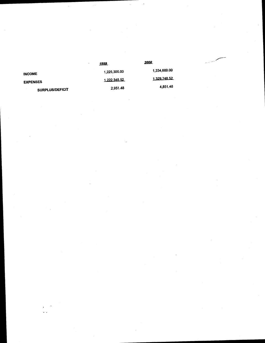|                 | 1999         | 2000         | a - 11 * |
|-----------------|--------------|--------------|----------|
| <b>INCOME</b>   | 1,225,300.00 | 1,334,600.00 |          |
| <b>EXPENSES</b> | 1,222,348.52 | 1,329,748.52 |          |
| SURPLUS/DEFICIT | 2.951.48     | 4,851.48     |          |

 $\mathcal{A}^{\text{out}}$ 

 $\mathcal{O}_{\mathbf{K}}$  .

 $\frac{1}{2} \sum_{i=1}^n \frac{1}{2} \sum_{j=1}^n \frac{1}{2} \sum_{j=1}^n \frac{1}{2} \sum_{j=1}^n \frac{1}{2} \sum_{j=1}^n \frac{1}{2} \sum_{j=1}^n \frac{1}{2} \sum_{j=1}^n \frac{1}{2} \sum_{j=1}^n \frac{1}{2} \sum_{j=1}^n \frac{1}{2} \sum_{j=1}^n \frac{1}{2} \sum_{j=1}^n \frac{1}{2} \sum_{j=1}^n \frac{1}{2} \sum_{j=1}^n \frac{1}{2} \sum_{j=$ 

 $\mathcal{L}_{\text{max}}$ 

 $\label{eq:2} \frac{1}{\sqrt{2}}\sum_{i=1}^n\frac{1}{\sqrt{2}}\sum_{i=1}^n\frac{1}{\sqrt{2}}\sum_{i=1}^n\frac{1}{\sqrt{2}}\sum_{i=1}^n\frac{1}{\sqrt{2}}\sum_{i=1}^n\frac{1}{\sqrt{2}}\sum_{i=1}^n\frac{1}{\sqrt{2}}\sum_{i=1}^n\frac{1}{\sqrt{2}}\sum_{i=1}^n\frac{1}{\sqrt{2}}\sum_{i=1}^n\frac{1}{\sqrt{2}}\sum_{i=1}^n\frac{1}{\sqrt{2}}\sum_{i=1}^n\frac{1$ 

 $\hat{\rho}_{\alpha\beta}$ 

 $\sim$ 

 $\label{eq:2} \frac{1}{\sqrt{2}}\sum_{i=1}^n\frac{1}{\sqrt{2}}\sum_{i=1}^n\frac{1}{\sqrt{2}}\sum_{i=1}^n\frac{1}{\sqrt{2}}\sum_{i=1}^n\frac{1}{\sqrt{2}}\sum_{i=1}^n\frac{1}{\sqrt{2}}\sum_{i=1}^n\frac{1}{\sqrt{2}}\sum_{i=1}^n\frac{1}{\sqrt{2}}\sum_{i=1}^n\frac{1}{\sqrt{2}}\sum_{i=1}^n\frac{1}{\sqrt{2}}\sum_{i=1}^n\frac{1}{\sqrt{2}}\sum_{i=1}^n\frac{1$ 

Tana<br>1940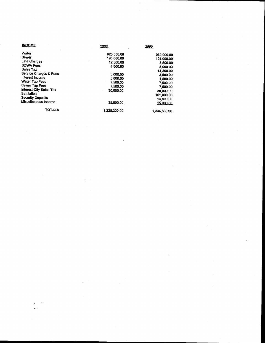| INCOME                   | 1999         | 2000         |
|--------------------------|--------------|--------------|
| Water                    | 923,000.00   | 932,000.00   |
| Sewer                    | 195,000.00   | 194,000,00   |
| Late Charges             | 12,500.00    | 8,500.00     |
| <b>SDWA Fees</b>         | 4.800.00     | 5,000.00     |
| Sales Tax                |              | 14,300.00    |
| Service Charges & Fees   | 5.000.00     | 3,500.00     |
| Interest Income          | 5,000.00     | 1,500.00     |
| <b>Water Tap Fees</b>    | 7.500.00     | 7.500.00     |
| Sewer Tap Fees           | 7.500.00     | 7.500.00     |
| Interest-City Sales Tax  | 30.000.00    | 30,000.00    |
| Sanitation               |              | 101.000.00   |
| <b>Security Deposits</b> |              | 14,800,00    |
| Miscellaneous Income     | 35,000.00    | 15,000.00    |
| <b>TOTALS</b>            | 1,225,300,00 | 1,334,600.00 |

 $\epsilon_{\rm{eff}}$ 

 $\hat{\mathcal{L}}$ 

 $\label{eq:2} \frac{1}{\sqrt{2\pi}}\frac{1}{\sqrt{2\pi}}\frac{d\omega}{\omega^2} \, ,$